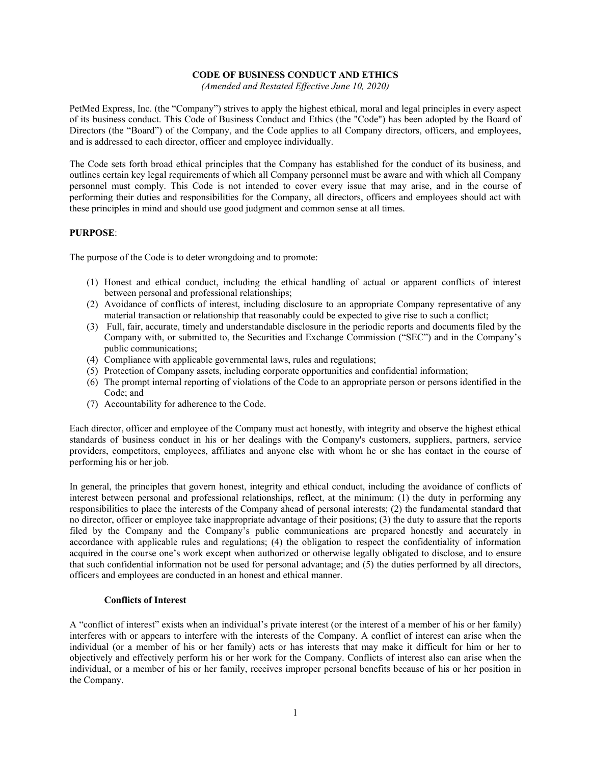## **CODE OF BUSINESS CONDUCT AND ETHICS**

*(Amended and Restated Effective June 10, 2020)*

PetMed Express, Inc. (the "Company") strives to apply the highest ethical, moral and legal principles in every aspect of its business conduct. This Code of Business Conduct and Ethics (the "Code") has been adopted by the Board of Directors (the "Board") of the Company, and the Code applies to all Company directors, officers, and employees, and is addressed to each director, officer and employee individually.

The Code sets forth broad ethical principles that the Company has established for the conduct of its business, and outlines certain key legal requirements of which all Company personnel must be aware and with which all Company personnel must comply. This Code is not intended to cover every issue that may arise, and in the course of performing their duties and responsibilities for the Company, all directors, officers and employees should act with these principles in mind and should use good judgment and common sense at all times.

## **PURPOSE**:

The purpose of the Code is to deter wrongdoing and to promote:

- (1) Honest and ethical conduct, including the ethical handling of actual or apparent conflicts of interest between personal and professional relationships;
- (2) Avoidance of conflicts of interest, including disclosure to an appropriate Company representative of any material transaction or relationship that reasonably could be expected to give rise to such a conflict;
- (3) Full, fair, accurate, timely and understandable disclosure in the periodic reports and documents filed by the Company with, or submitted to, the Securities and Exchange Commission ("SEC") and in the Company's public communications;
- (4) Compliance with applicable governmental laws, rules and regulations;
- (5) Protection of Company assets, including corporate opportunities and confidential information;
- (6) The prompt internal reporting of violations of the Code to an appropriate person or persons identified in the Code; and
- (7) Accountability for adherence to the Code.

Each director, officer and employee of the Company must act honestly, with integrity and observe the highest ethical standards of business conduct in his or her dealings with the Company's customers, suppliers, partners, service providers, competitors, employees, affiliates and anyone else with whom he or she has contact in the course of performing his or her job.

In general, the principles that govern honest, integrity and ethical conduct, including the avoidance of conflicts of interest between personal and professional relationships, reflect, at the minimum: (1) the duty in performing any responsibilities to place the interests of the Company ahead of personal interests; (2) the fundamental standard that no director, officer or employee take inappropriate advantage of their positions; (3) the duty to assure that the reports filed by the Company and the Company's public communications are prepared honestly and accurately in accordance with applicable rules and regulations; (4) the obligation to respect the confidentiality of information acquired in the course one's work except when authorized or otherwise legally obligated to disclose, and to ensure that such confidential information not be used for personal advantage; and (5) the duties performed by all directors, officers and employees are conducted in an honest and ethical manner.

#### **Conflicts of Interest**

A "conflict of interest" exists when an individual's private interest (or the interest of a member of his or her family) interferes with or appears to interfere with the interests of the Company. A conflict of interest can arise when the individual (or a member of his or her family) acts or has interests that may make it difficult for him or her to objectively and effectively perform his or her work for the Company. Conflicts of interest also can arise when the individual, or a member of his or her family, receives improper personal benefits because of his or her position in the Company.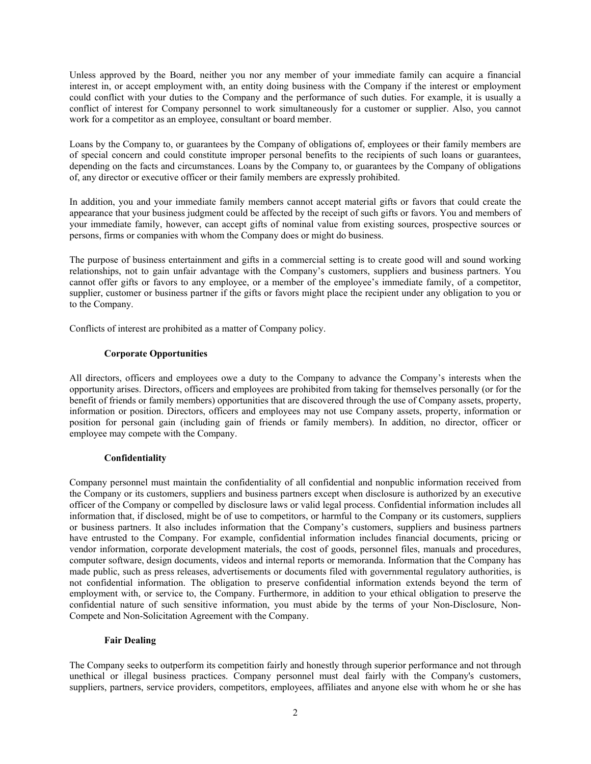Unless approved by the Board, neither you nor any member of your immediate family can acquire a financial interest in, or accept employment with, an entity doing business with the Company if the interest or employment could conflict with your duties to the Company and the performance of such duties. For example, it is usually a conflict of interest for Company personnel to work simultaneously for a customer or supplier. Also, you cannot work for a competitor as an employee, consultant or board member.

Loans by the Company to, or guarantees by the Company of obligations of, employees or their family members are of special concern and could constitute improper personal benefits to the recipients of such loans or guarantees, depending on the facts and circumstances. Loans by the Company to, or guarantees by the Company of obligations of, any director or executive officer or their family members are expressly prohibited.

In addition, you and your immediate family members cannot accept material gifts or favors that could create the appearance that your business judgment could be affected by the receipt of such gifts or favors. You and members of your immediate family, however, can accept gifts of nominal value from existing sources, prospective sources or persons, firms or companies with whom the Company does or might do business.

The purpose of business entertainment and gifts in a commercial setting is to create good will and sound working relationships, not to gain unfair advantage with the Company's customers, suppliers and business partners. You cannot offer gifts or favors to any employee, or a member of the employee's immediate family, of a competitor, supplier, customer or business partner if the gifts or favors might place the recipient under any obligation to you or to the Company.

Conflicts of interest are prohibited as a matter of Company policy.

# **Corporate Opportunities**

All directors, officers and employees owe a duty to the Company to advance the Company's interests when the opportunity arises. Directors, officers and employees are prohibited from taking for themselves personally (or for the benefit of friends or family members) opportunities that are discovered through the use of Company assets, property, information or position. Directors, officers and employees may not use Company assets, property, information or position for personal gain (including gain of friends or family members). In addition, no director, officer or employee may compete with the Company.

# **Confidentiality**

Company personnel must maintain the confidentiality of all confidential and nonpublic information received from the Company or its customers, suppliers and business partners except when disclosure is authorized by an executive officer of the Company or compelled by disclosure laws or valid legal process. Confidential information includes all information that, if disclosed, might be of use to competitors, or harmful to the Company or its customers, suppliers or business partners. It also includes information that the Company's customers, suppliers and business partners have entrusted to the Company. For example, confidential information includes financial documents, pricing or vendor information, corporate development materials, the cost of goods, personnel files, manuals and procedures, computer software, design documents, videos and internal reports or memoranda. Information that the Company has made public, such as press releases, advertisements or documents filed with governmental regulatory authorities, is not confidential information. The obligation to preserve confidential information extends beyond the term of employment with, or service to, the Company. Furthermore, in addition to your ethical obligation to preserve the confidential nature of such sensitive information, you must abide by the terms of your Non-Disclosure, Non-Compete and Non-Solicitation Agreement with the Company.

#### **Fair Dealing**

The Company seeks to outperform its competition fairly and honestly through superior performance and not through unethical or illegal business practices. Company personnel must deal fairly with the Company's customers, suppliers, partners, service providers, competitors, employees, affiliates and anyone else with whom he or she has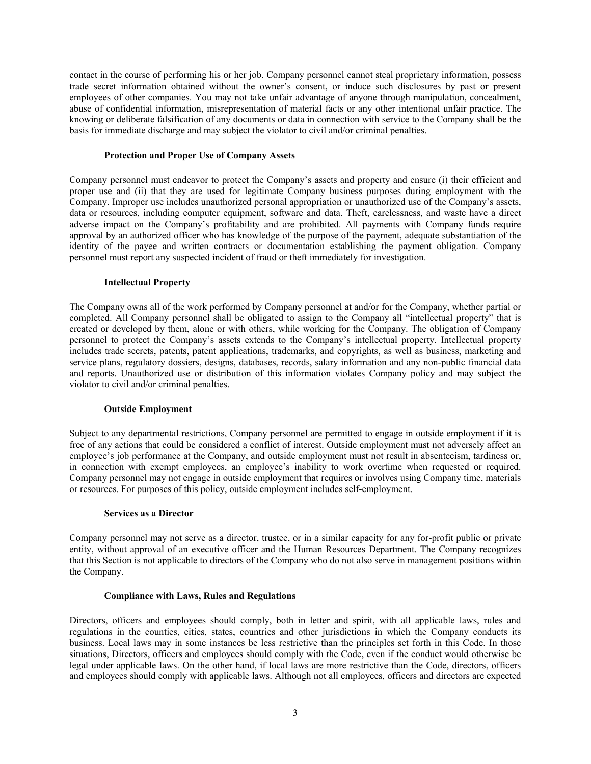contact in the course of performing his or her job. Company personnel cannot steal proprietary information, possess trade secret information obtained without the owner's consent, or induce such disclosures by past or present employees of other companies. You may not take unfair advantage of anyone through manipulation, concealment, abuse of confidential information, misrepresentation of material facts or any other intentional unfair practice. The knowing or deliberate falsification of any documents or data in connection with service to the Company shall be the basis for immediate discharge and may subject the violator to civil and/or criminal penalties.

## **Protection and Proper Use of Company Assets**

Company personnel must endeavor to protect the Company's assets and property and ensure (i) their efficient and proper use and (ii) that they are used for legitimate Company business purposes during employment with the Company. Improper use includes unauthorized personal appropriation or unauthorized use of the Company's assets, data or resources, including computer equipment, software and data. Theft, carelessness, and waste have a direct adverse impact on the Company's profitability and are prohibited. All payments with Company funds require approval by an authorized officer who has knowledge of the purpose of the payment, adequate substantiation of the identity of the payee and written contracts or documentation establishing the payment obligation. Company personnel must report any suspected incident of fraud or theft immediately for investigation.

## **Intellectual Property**

The Company owns all of the work performed by Company personnel at and/or for the Company, whether partial or completed. All Company personnel shall be obligated to assign to the Company all "intellectual property" that is created or developed by them, alone or with others, while working for the Company. The obligation of Company personnel to protect the Company's assets extends to the Company's intellectual property. Intellectual property includes trade secrets, patents, patent applications, trademarks, and copyrights, as well as business, marketing and service plans, regulatory dossiers, designs, databases, records, salary information and any non-public financial data and reports. Unauthorized use or distribution of this information violates Company policy and may subject the violator to civil and/or criminal penalties.

# **Outside Employment**

Subject to any departmental restrictions, Company personnel are permitted to engage in outside employment if it is free of any actions that could be considered a conflict of interest. Outside employment must not adversely affect an employee's job performance at the Company, and outside employment must not result in absenteeism, tardiness or, in connection with exempt employees, an employee's inability to work overtime when requested or required. Company personnel may not engage in outside employment that requires or involves using Company time, materials or resources. For purposes of this policy, outside employment includes self-employment.

#### **Services as a Director**

Company personnel may not serve as a director, trustee, or in a similar capacity for any for-profit public or private entity, without approval of an executive officer and the Human Resources Department. The Company recognizes that this Section is not applicable to directors of the Company who do not also serve in management positions within the Company.

# **Compliance with Laws, Rules and Regulations**

Directors, officers and employees should comply, both in letter and spirit, with all applicable laws, rules and regulations in the counties, cities, states, countries and other jurisdictions in which the Company conducts its business. Local laws may in some instances be less restrictive than the principles set forth in this Code. In those situations, Directors, officers and employees should comply with the Code, even if the conduct would otherwise be legal under applicable laws. On the other hand, if local laws are more restrictive than the Code, directors, officers and employees should comply with applicable laws. Although not all employees, officers and directors are expected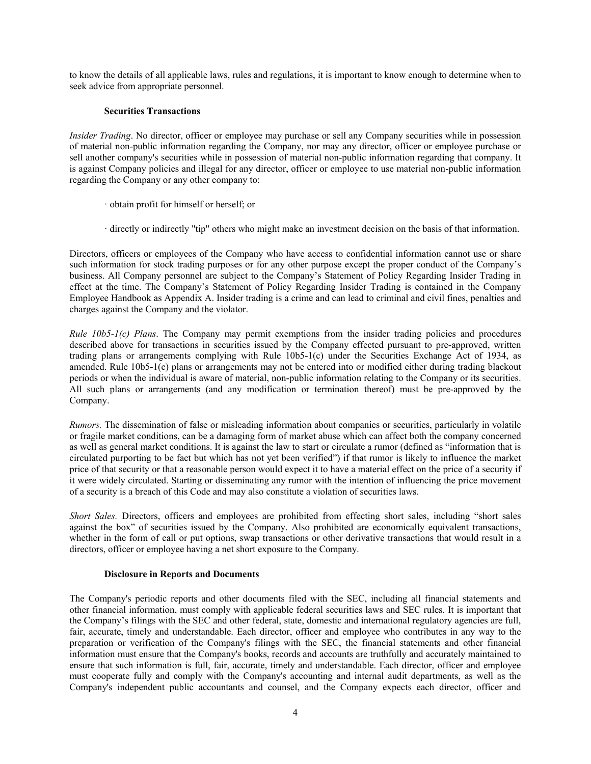to know the details of all applicable laws, rules and regulations, it is important to know enough to determine when to seek advice from appropriate personnel.

## **Securities Transactions**

*Insider Trading*. No director, officer or employee may purchase or sell any Company securities while in possession of material non-public information regarding the Company, nor may any director, officer or employee purchase or sell another company's securities while in possession of material non-public information regarding that company. It is against Company policies and illegal for any director, officer or employee to use material non-public information regarding the Company or any other company to:

- · obtain profit for himself or herself; or
- · directly or indirectly "tip" others who might make an investment decision on the basis of that information.

Directors, officers or employees of the Company who have access to confidential information cannot use or share such information for stock trading purposes or for any other purpose except the proper conduct of the Company's business. All Company personnel are subject to the Company's Statement of Policy Regarding Insider Trading in effect at the time. The Company's Statement of Policy Regarding Insider Trading is contained in the Company Employee Handbook as Appendix A. Insider trading is a crime and can lead to criminal and civil fines, penalties and charges against the Company and the violator.

*Rule 10b5-1(c) Plans*. The Company may permit exemptions from the insider trading policies and procedures described above for transactions in securities issued by the Company effected pursuant to pre-approved, written trading plans or arrangements complying with Rule 10b5-1(c) under the Securities Exchange Act of 1934, as amended. Rule 10b5-1(c) plans or arrangements may not be entered into or modified either during trading blackout periods or when the individual is aware of material, non-public information relating to the Company or its securities. All such plans or arrangements (and any modification or termination thereof) must be pre-approved by the Company.

*Rumors.* The dissemination of false or misleading information about companies or securities, particularly in volatile or fragile market conditions, can be a damaging form of market abuse which can affect both the company concerned as well as general market conditions. It is against the law to start or circulate a rumor (defined as "information that is circulated purporting to be fact but which has not yet been verified") if that rumor is likely to influence the market price of that security or that a reasonable person would expect it to have a material effect on the price of a security if it were widely circulated. Starting or disseminating any rumor with the intention of influencing the price movement of a security is a breach of this Code and may also constitute a violation of securities laws.

*Short Sales.* Directors, officers and employees are prohibited from effecting short sales, including "short sales against the box" of securities issued by the Company. Also prohibited are economically equivalent transactions, whether in the form of call or put options, swap transactions or other derivative transactions that would result in a directors, officer or employee having a net short exposure to the Company.

#### **Disclosure in Reports and Documents**

The Company's periodic reports and other documents filed with the SEC, including all financial statements and other financial information, must comply with applicable federal securities laws and SEC rules. It is important that the Company's filings with the SEC and other federal, state, domestic and international regulatory agencies are full, fair, accurate, timely and understandable. Each director, officer and employee who contributes in any way to the preparation or verification of the Company's filings with the SEC, the financial statements and other financial information must ensure that the Company's books, records and accounts are truthfully and accurately maintained to ensure that such information is full, fair, accurate, timely and understandable. Each director, officer and employee must cooperate fully and comply with the Company's accounting and internal audit departments, as well as the Company's independent public accountants and counsel, and the Company expects each director, officer and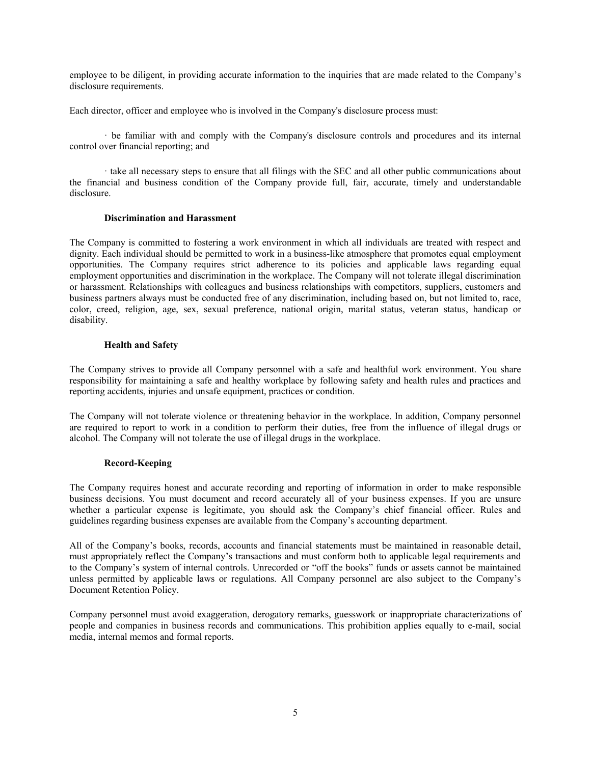employee to be diligent, in providing accurate information to the inquiries that are made related to the Company's disclosure requirements.

Each director, officer and employee who is involved in the Company's disclosure process must:

· be familiar with and comply with the Company's disclosure controls and procedures and its internal control over financial reporting; and

· take all necessary steps to ensure that all filings with the SEC and all other public communications about the financial and business condition of the Company provide full, fair, accurate, timely and understandable disclosure.

#### **Discrimination and Harassment**

The Company is committed to fostering a work environment in which all individuals are treated with respect and dignity. Each individual should be permitted to work in a business-like atmosphere that promotes equal employment opportunities. The Company requires strict adherence to its policies and applicable laws regarding equal employment opportunities and discrimination in the workplace. The Company will not tolerate illegal discrimination or harassment. Relationships with colleagues and business relationships with competitors, suppliers, customers and business partners always must be conducted free of any discrimination, including based on, but not limited to, race, color, creed, religion, age, sex, sexual preference, national origin, marital status, veteran status, handicap or disability.

## **Health and Safety**

The Company strives to provide all Company personnel with a safe and healthful work environment. You share responsibility for maintaining a safe and healthy workplace by following safety and health rules and practices and reporting accidents, injuries and unsafe equipment, practices or condition.

The Company will not tolerate violence or threatening behavior in the workplace. In addition, Company personnel are required to report to work in a condition to perform their duties, free from the influence of illegal drugs or alcohol. The Company will not tolerate the use of illegal drugs in the workplace.

#### **Record-Keeping**

The Company requires honest and accurate recording and reporting of information in order to make responsible business decisions. You must document and record accurately all of your business expenses. If you are unsure whether a particular expense is legitimate, you should ask the Company's chief financial officer. Rules and guidelines regarding business expenses are available from the Company's accounting department.

All of the Company's books, records, accounts and financial statements must be maintained in reasonable detail, must appropriately reflect the Company's transactions and must conform both to applicable legal requirements and to the Company's system of internal controls. Unrecorded or "off the books" funds or assets cannot be maintained unless permitted by applicable laws or regulations. All Company personnel are also subject to the Company's Document Retention Policy.

Company personnel must avoid exaggeration, derogatory remarks, guesswork or inappropriate characterizations of people and companies in business records and communications. This prohibition applies equally to e-mail, social media, internal memos and formal reports.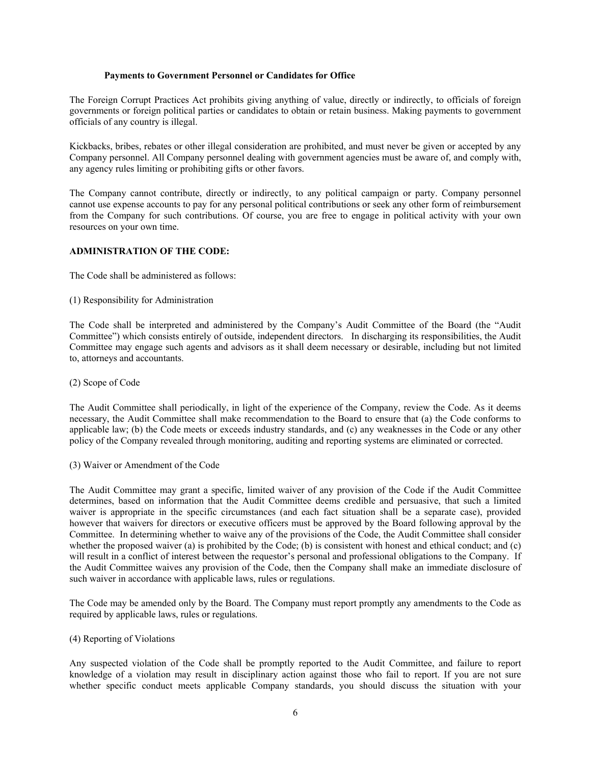## **Payments to Government Personnel or Candidates for Office**

The Foreign Corrupt Practices Act prohibits giving anything of value, directly or indirectly, to officials of foreign governments or foreign political parties or candidates to obtain or retain business. Making payments to government officials of any country is illegal.

Kickbacks, bribes, rebates or other illegal consideration are prohibited, and must never be given or accepted by any Company personnel. All Company personnel dealing with government agencies must be aware of, and comply with, any agency rules limiting or prohibiting gifts or other favors.

The Company cannot contribute, directly or indirectly, to any political campaign or party. Company personnel cannot use expense accounts to pay for any personal political contributions or seek any other form of reimbursement from the Company for such contributions. Of course, you are free to engage in political activity with your own resources on your own time.

# **ADMINISTRATION OF THE CODE:**

The Code shall be administered as follows:

(1) Responsibility for Administration

The Code shall be interpreted and administered by the Company's Audit Committee of the Board (the "Audit Committee") which consists entirely of outside, independent directors. In discharging its responsibilities, the Audit Committee may engage such agents and advisors as it shall deem necessary or desirable, including but not limited to, attorneys and accountants.

(2) Scope of Code

The Audit Committee shall periodically, in light of the experience of the Company, review the Code. As it deems necessary, the Audit Committee shall make recommendation to the Board to ensure that (a) the Code conforms to applicable law; (b) the Code meets or exceeds industry standards, and (c) any weaknesses in the Code or any other policy of the Company revealed through monitoring, auditing and reporting systems are eliminated or corrected.

(3) Waiver or Amendment of the Code

The Audit Committee may grant a specific, limited waiver of any provision of the Code if the Audit Committee determines, based on information that the Audit Committee deems credible and persuasive, that such a limited waiver is appropriate in the specific circumstances (and each fact situation shall be a separate case), provided however that waivers for directors or executive officers must be approved by the Board following approval by the Committee. In determining whether to waive any of the provisions of the Code, the Audit Committee shall consider whether the proposed waiver (a) is prohibited by the Code; (b) is consistent with honest and ethical conduct; and (c) will result in a conflict of interest between the requestor's personal and professional obligations to the Company. If the Audit Committee waives any provision of the Code, then the Company shall make an immediate disclosure of such waiver in accordance with applicable laws, rules or regulations.

The Code may be amended only by the Board. The Company must report promptly any amendments to the Code as required by applicable laws, rules or regulations.

(4) Reporting of Violations

Any suspected violation of the Code shall be promptly reported to the Audit Committee, and failure to report knowledge of a violation may result in disciplinary action against those who fail to report. If you are not sure whether specific conduct meets applicable Company standards, you should discuss the situation with your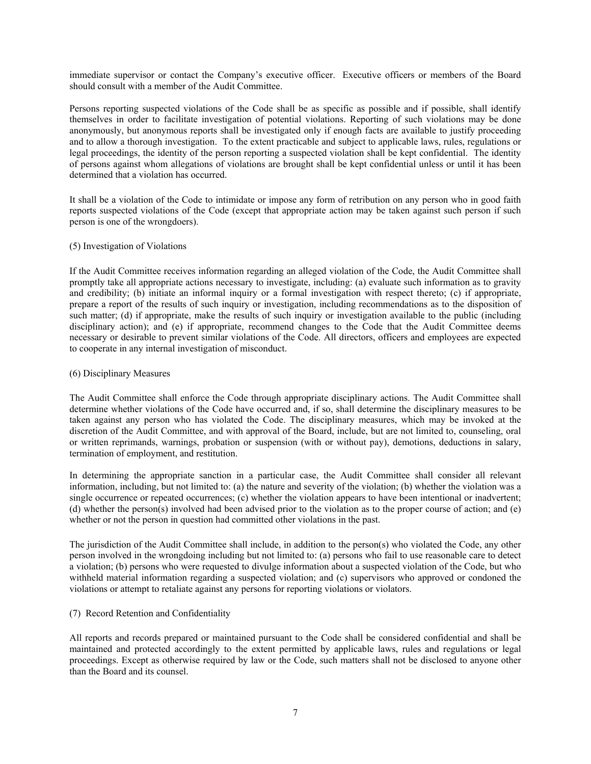immediate supervisor or contact the Company's executive officer. Executive officers or members of the Board should consult with a member of the Audit Committee.

Persons reporting suspected violations of the Code shall be as specific as possible and if possible, shall identify themselves in order to facilitate investigation of potential violations. Reporting of such violations may be done anonymously, but anonymous reports shall be investigated only if enough facts are available to justify proceeding and to allow a thorough investigation. To the extent practicable and subject to applicable laws, rules, regulations or legal proceedings, the identity of the person reporting a suspected violation shall be kept confidential. The identity of persons against whom allegations of violations are brought shall be kept confidential unless or until it has been determined that a violation has occurred.

It shall be a violation of the Code to intimidate or impose any form of retribution on any person who in good faith reports suspected violations of the Code (except that appropriate action may be taken against such person if such person is one of the wrongdoers).

#### (5) Investigation of Violations

If the Audit Committee receives information regarding an alleged violation of the Code, the Audit Committee shall promptly take all appropriate actions necessary to investigate, including: (a) evaluate such information as to gravity and credibility; (b) initiate an informal inquiry or a formal investigation with respect thereto; (c) if appropriate, prepare a report of the results of such inquiry or investigation, including recommendations as to the disposition of such matter; (d) if appropriate, make the results of such inquiry or investigation available to the public (including disciplinary action); and (e) if appropriate, recommend changes to the Code that the Audit Committee deems necessary or desirable to prevent similar violations of the Code. All directors, officers and employees are expected to cooperate in any internal investigation of misconduct.

#### (6) Disciplinary Measures

The Audit Committee shall enforce the Code through appropriate disciplinary actions. The Audit Committee shall determine whether violations of the Code have occurred and, if so, shall determine the disciplinary measures to be taken against any person who has violated the Code. The disciplinary measures, which may be invoked at the discretion of the Audit Committee, and with approval of the Board, include, but are not limited to, counseling, oral or written reprimands, warnings, probation or suspension (with or without pay), demotions, deductions in salary, termination of employment, and restitution.

In determining the appropriate sanction in a particular case, the Audit Committee shall consider all relevant information, including, but not limited to: (a) the nature and severity of the violation; (b) whether the violation was a single occurrence or repeated occurrences; (c) whether the violation appears to have been intentional or inadvertent; (d) whether the person(s) involved had been advised prior to the violation as to the proper course of action; and (e) whether or not the person in question had committed other violations in the past.

The jurisdiction of the Audit Committee shall include, in addition to the person(s) who violated the Code, any other person involved in the wrongdoing including but not limited to: (a) persons who fail to use reasonable care to detect a violation; (b) persons who were requested to divulge information about a suspected violation of the Code, but who withheld material information regarding a suspected violation; and (c) supervisors who approved or condoned the violations or attempt to retaliate against any persons for reporting violations or violators.

#### (7) Record Retention and Confidentiality

All reports and records prepared or maintained pursuant to the Code shall be considered confidential and shall be maintained and protected accordingly to the extent permitted by applicable laws, rules and regulations or legal proceedings. Except as otherwise required by law or the Code, such matters shall not be disclosed to anyone other than the Board and its counsel.